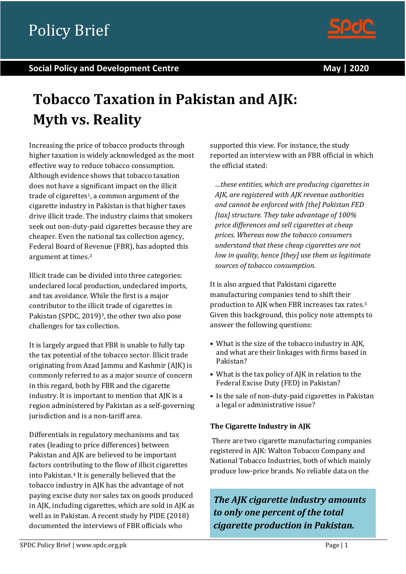

#### **Social Policy and Development Centre May | 2020**

# **Tobacco Taxation in Pakistan and AJK: Myth vs. Reality**

Increasing the price of tobacco products through higher taxation is widely acknowledged as the most effective way to reduce tobacco consumption. Although evidence shows that tobacco taxation does not have a significant impact on the illicit trade of cigarettes1, a common argument of the cigarette industry in Pakistan is that higher taxes drive illicit trade. The industry claims that smokers seek out non-duty-paid cigarettes because they are cheaper. Even the national tax collection agency, Federal Board of Revenue (FBR), has adopted this argument at times.<sup>2</sup>

Illicit trade can be divided into three categories: undeclared local production, undeclared imports, and tax avoidance. While the first is a major contributor to the illicit trade of cigarettes in Pakistan (SPDC, 2019)<sup>3</sup>, the other two also pose challenges for tax collection.

It is largely argued that FBR is unable to fully tap the tax potential of the tobacco sector. Illicit trade originating from Azad Jammu and Kashmir (AJK) is commonly referred to as a major source of concern in this regard, both by FBR and the cigarette industry. It is important to mention that AJK is a region administered by Pakistan as a self-governing jurisdiction and is a non-tariff area.

Differentials in regulatory mechanisms and tax rates (leading to price differences) between Pakistan and AJK are believed to be important factors contributing to the flow of illicit cigarettes into Pakistan.<sup>4</sup> It is generally believed that the tobacco industry in AJK has the advantage of not paying excise duty nor sales tax on goods produced in AJK, including cigarettes, which are sold in AJK as well as in Pakistan. A recent study by PIDE (2018) documented the interviews of FBR officials who

supported this view. For instance, the study reported an interview with an FBR official in which the official stated:

*…these entities, which are producing cigarettes in AJK, are registered with AJK revenue authorities and cannot be enforced with [the] Pakistan FED [tax] structure. They take advantage of 100% price differences and sell cigarettes at cheap prices. Whereas now the tobacco consumers understand that these cheap cigarettes are not low in quality, hence [they] use them as legitimate sources of tobacco consumption.*

It is also argued that Pakistani cigarette manufacturing companies tend to shift their production to AJK when FBR increases tax rates.<sup>5</sup> Given this background, this policy note attempts to answer the following questions:

- What is the size of the tobacco industry in AJK, and what are their linkages with firms based in Pakistan?
- What is the tax policy of AJK in relation to the Federal Excise Duty (FED) in Pakistan?
- Is the sale of non-duty-paid cigarettes in Pakistan a legal or administrative issue?

#### **The Cigarette Industry in AJK**

There are two cigarette manufacturing companies registered in AJK: Walton Tobacco Company and National Tobacco Industries, both of which mainly produce low-price brands. No reliable data on the

*The AJK cigarette industry amounts to only one percent of the total cigarette production in Pakistan.*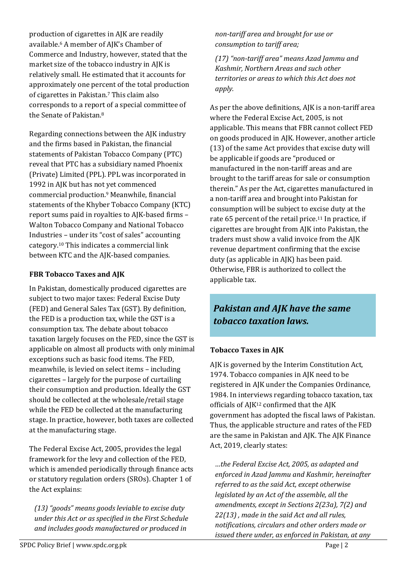production of cigarettes in AJK are readily available.<sup>6</sup> A member of AJK's Chamber of Commerce and Industry, however, stated that the market size of the tobacco industry in AJK is relatively small. He estimated that it accounts for approximately one percent of the total production of cigarettes in Pakistan.<sup>7</sup> This claim also corresponds to a report of a special committee of the Senate of Pakistan.<sup>8</sup>

Regarding connections between the AJK industry and the firms based in Pakistan, the financial statements of Pakistan Tobacco Company (PTC) reveal that PTC has a subsidiary named Phoenix (Private) Limited (PPL). PPL was incorporated in 1992 in AJK but has not yet commenced commercial production.<sup>9</sup> Meanwhile, financial statements of the Khyber Tobacco Company (KTC) report sums paid in royalties to AJK-based firms – Walton Tobacco Company and National Tobacco Industries – under its "cost of sales" accounting category.<sup>10</sup> This indicates a commercial link between KTC and the AJK-based companies.

#### **FBR Tobacco Taxes and AJK**

In Pakistan, domestically produced cigarettes are subject to two major taxes: Federal Excise Duty (FED) and General Sales Tax (GST). By definition, the FED is a production tax, while the GST is a consumption tax. The debate about tobacco taxation largely focuses on the FED, since the GST is applicable on almost all products with only minimal exceptions such as basic food items. The FED, meanwhile, is levied on select items – including cigarettes – largely for the purpose of curtailing their consumption and production. Ideally the GST should be collected at the wholesale/retail stage while the FED be collected at the manufacturing stage. In practice, however, both taxes are collected at the manufacturing stage.

The Federal Excise Act, 2005, provides the legal framework for the levy and collection of the FED, which is amended periodically through finance acts or statutory regulation orders (SROs). Chapter 1 of the Act explains:

*(13) "goods" means goods leviable to excise duty under this Act or as specified in the First Schedule and includes goods manufactured or produced in* 

*non-tariff area and brought for use or consumption to tariff area;*

*(17) "non-tariff area" means Azad Jammu and Kashmir, Northern Areas and such other territories or areas to which this Act does not apply.*

As per the above definitions, AJK is a non-tariff area where the Federal Excise Act, 2005, is not applicable. This means that FBR cannot collect FED on goods produced in AJK. However, another article (13) of the same Act provides that excise duty will be applicable if goods are "produced or manufactured in the non-tariff areas and are brought to the tariff areas for sale or consumption therein." As per the Act, cigarettes manufactured in a non-tariff area and brought into Pakistan for consumption will be subject to excise duty at the rate 65 percent of the retail price.<sup>11</sup> In practice, if cigarettes are brought from AJK into Pakistan, the traders must show a valid invoice from the AJK revenue department confirming that the excise duty (as applicable in AJK) has been paid. Otherwise, FBR is authorized to collect the applicable tax.

# *Pakistan and AJK have the same tobacco taxation laws.*

# **Tobacco Taxes in AJK**

AJK is governed by the Interim Constitution Act, 1974. Tobacco companies in AJK need to be registered in AJK under the Companies Ordinance, 1984. In interviews regarding tobacco taxation, tax officials of AJK<sup>12</sup> confirmed that the AJK government has adopted the fiscal laws of Pakistan. Thus, the applicable structure and rates of the FED are the same in Pakistan and AJK. The AJK Finance Act, 2019, clearly states:

*…the Federal Excise Act, 2005, as adapted and enforced in Azad Jammu and Kashmir, hereinafter referred to as the said Act, except otherwise legislated by an Act of the assemble, all the amendments, except in Sections 2(23a), 7(2) and 22(13) , made in the said Act and all rules, notifications, circulars and other orders made or issued there under, as enforced in Pakistan, at any*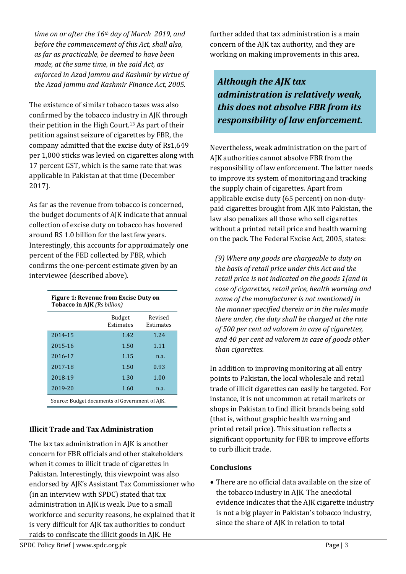*time on or after the 16th day of March 2019, and before the commencement of this Act, shall also, as far as practicable, be deemed to have been made, at the same time, in the said Act, as enforced in Azad Jammu and Kashmir by virtue of the Azad Jammu and Kashmir Finance Act, 2005.*

The existence of similar tobacco taxes was also confirmed by the tobacco industry in AJK through their petition in the High Court.<sup>13</sup> As part of their petition against seizure of cigarettes by FBR, the company admitted that the excise duty of Rs1,649 per 1,000 sticks was levied on cigarettes along with 17 percent GST, which is the same rate that was applicable in Pakistan at that time (December 2017).

As far as the revenue from tobacco is concerned, the budget documents of AJK indicate that annual collection of excise duty on tobacco has hovered around RS 1.0 billion for the last few years. Interestingly, this accounts for approximately one percent of the FED collected by FBR, which confirms the one-percent estimate given by an interviewee (described above).

| <b>Figure 1: Revenue from Excise Duty on</b><br><b>Tobacco in AJK</b> (Rs billion) |                            |                      |
|------------------------------------------------------------------------------------|----------------------------|----------------------|
|                                                                                    | <b>Budget</b><br>Estimates | Revised<br>Estimates |
| 2014-15                                                                            | 1.42                       | 1.24                 |
| 2015-16                                                                            | 1.50                       | 1.11                 |
| 2016-17                                                                            | 1.15                       | n.a.                 |
| 2017-18                                                                            | 1.50                       | 0.93                 |
| 2018-19                                                                            | 1.30                       | 1.00                 |
| 2019-20                                                                            | 1.60                       | n.a.                 |
|                                                                                    |                            |                      |

Source: Budget documents of Government of AJK.

## **Illicit Trade and Tax Administration**

The lax tax administration in AJK is another concern for FBR officials and other stakeholders when it comes to illicit trade of cigarettes in Pakistan. Interestingly, this viewpoint was also endorsed by AJK's Assistant Tax Commissioner who (in an interview with SPDC) stated that tax administration in AJK is weak. Due to a small workforce and security reasons, he explained that it is very difficult for AJK tax authorities to conduct raids to confiscate the illicit goods in AJK. He

further added that tax administration is a main concern of the AJK tax authority, and they are working on making improvements in this area.

*Although the AJK tax administration is relatively weak, this does not absolve FBR from its responsibility of law enforcement.*

Nevertheless, weak administration on the part of AJK authorities cannot absolve FBR from the responsibility of law enforcement. The latter needs to improve its system of monitoring and tracking the supply chain of cigarettes. Apart from applicable excise duty (65 percent) on non-dutypaid cigarettes brought from AJK into Pakistan, the law also penalizes all those who sell cigarettes without a printed retail price and health warning on the pack. The Federal Excise Act, 2005, states:

*(9) Where any goods are chargeable to duty on the basis of retail price under this Act and the retail price is not indicated on the goods 1[and in case of cigarettes, retail price, health warning and name of the manufacturer is not mentioned] in the manner specified therein or in the rules made there under, the duty shall be charged at the rate of 500 per cent ad valorem in case of cigarettes, and 40 per cent ad valorem in case of goods other than cigarettes.*

In addition to improving monitoring at all entry points to Pakistan, the local wholesale and retail trade of illicit cigarettes can easily be targeted. For instance, it is not uncommon at retail markets or shops in Pakistan to find illicit brands being sold (that is, without graphic health warning and printed retail price). This situation reflects a significant opportunity for FBR to improve efforts to curb illicit trade.

## **Conclusions**

 There are no official data available on the size of the tobacco industry in AJK. The anecdotal evidence indicates that the AJK cigarette industry is not a big player in Pakistan's tobacco industry, since the share of AJK in relation to total